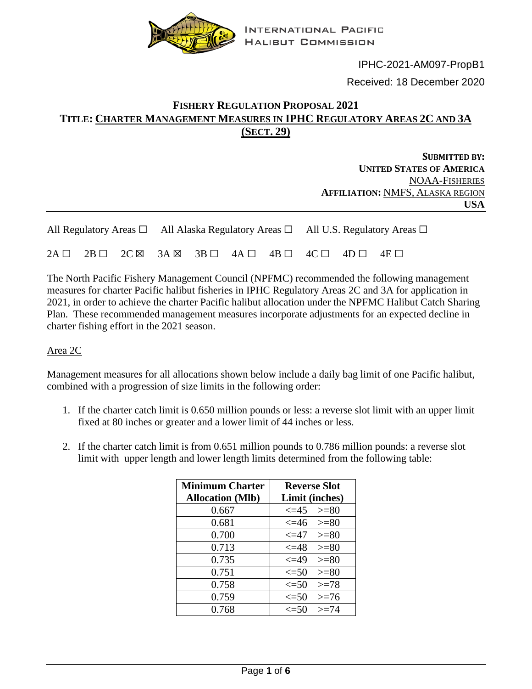

IPHC-2021-AM097-PropB1 Received: 18 December 2020

# **FISHERY REGULATION PROPOSAL 2021 TITLE: CHARTER MANAGEMENT MEASURES IN IPHC REGULATORY AREAS 2C AND 3A (SECT. 29)**

**SUBMITTED BY: UNITED STATES OF AMERICA** NOAA-FISHERIES **AFFILIATION:** NMFS, ALASKA REGION **USA**

|  |  | All Regulatory Areas $\Box$ All Alaska Regulatory Areas $\Box$ All U.S. Regulatory Areas $\Box$ |  |  |                                                                                                               |  |  |  |  |  |
|--|--|-------------------------------------------------------------------------------------------------|--|--|---------------------------------------------------------------------------------------------------------------|--|--|--|--|--|
|  |  |                                                                                                 |  |  | $2A \Box$ $2B \Box$ $2C \boxtimes$ $3A \boxtimes$ $3B \Box$ $4A \Box$ $4B \Box$ $4C \Box$ $4D \Box$ $4E \Box$ |  |  |  |  |  |

The North Pacific Fishery Management Council (NPFMC) recommended the following management measures for charter Pacific halibut fisheries in IPHC Regulatory Areas 2C and 3A for application in 2021, in order to achieve the charter Pacific halibut allocation under the NPFMC Halibut Catch Sharing Plan. These recommended management measures incorporate adjustments for an expected decline in charter fishing effort in the 2021 season.

## Area 2C

Management measures for all allocations shown below include a daily bag limit of one Pacific halibut, combined with a progression of size limits in the following order:

- 1. If the charter catch limit is 0.650 million pounds or less: a reverse slot limit with an upper limit fixed at 80 inches or greater and a lower limit of 44 inches or less.
- 2. If the charter catch limit is from 0.651 million pounds to 0.786 million pounds: a reverse slot limit with upper length and lower length limits determined from the following table:

| <b>Minimum Charter</b>  | <b>Reverse Slot</b>        |
|-------------------------|----------------------------|
| <b>Allocation</b> (Mlb) | Limit (inches)             |
| 0.667                   | $\leq 45$ $> = 80$         |
| 0.681                   | $\leq 46$ $> = 80$         |
| 0.700                   | $\leq$ $-47$<br>$>= 80$    |
| 0.713                   | $\leq=48$<br>$>=80$        |
| 0.735                   | $\epsilon = 49$<br>$>= 80$ |
| 0.751                   | $\leq 50$<br>$>=80$        |
| 0.758                   | $\leq 50$<br>$>=78$        |
| 0.759                   | $\leq 50$<br>$>= 76$       |
| 0.768                   | $>= 74$<br>$\epsilon = 50$ |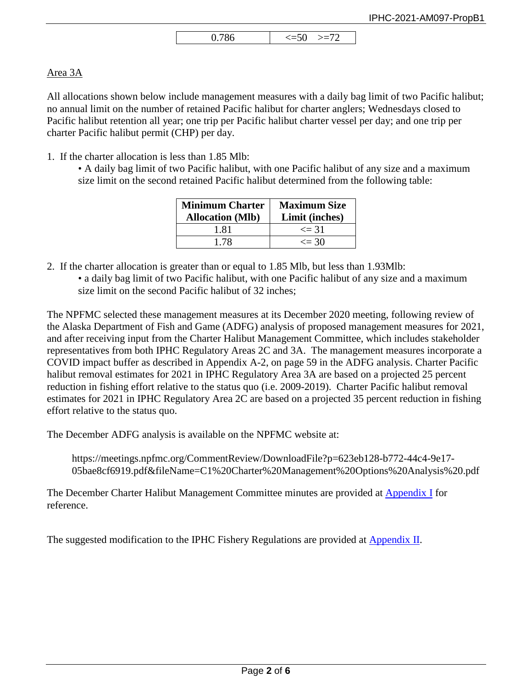| ິ | 86<br>$\theta$ . |  |
|---|------------------|--|
|---|------------------|--|

## Area 3A

All allocations shown below include management measures with a daily bag limit of two Pacific halibut; no annual limit on the number of retained Pacific halibut for charter anglers; Wednesdays closed to Pacific halibut retention all year; one trip per Pacific halibut charter vessel per day; and one trip per charter Pacific halibut permit (CHP) per day.

1. If the charter allocation is less than 1.85 Mlb:

• A daily bag limit of two Pacific halibut, with one Pacific halibut of any size and a maximum size limit on the second retained Pacific halibut determined from the following table:

| <b>Minimum Charter</b><br><b>Allocation</b> (Mlb) | <b>Maximum Size</b><br>Limit (inches) |
|---------------------------------------------------|---------------------------------------|
| 1.81                                              | $\leq$ 31                             |
| 178                                               | $\leq$ 30                             |

- 2. If the charter allocation is greater than or equal to 1.85 Mlb, but less than 1.93Mlb:
	- a daily bag limit of two Pacific halibut, with one Pacific halibut of any size and a maximum size limit on the second Pacific halibut of 32 inches;

The NPFMC selected these management measures at its December 2020 meeting, following review of the Alaska Department of Fish and Game (ADFG) analysis of proposed management measures for 2021, and after receiving input from the Charter Halibut Management Committee, which includes stakeholder representatives from both IPHC Regulatory Areas 2C and 3A. The management measures incorporate a COVID impact buffer as described in Appendix A-2, on page 59 in the ADFG analysis. Charter Pacific halibut removal estimates for 2021 in IPHC Regulatory Area 3A are based on a projected 25 percent reduction in fishing effort relative to the status quo (i.e. 2009-2019). Charter Pacific halibut removal estimates for 2021 in IPHC Regulatory Area 2C are based on a projected 35 percent reduction in fishing effort relative to the status quo.

The December ADFG analysis is available on the NPFMC website at:

https://meetings.npfmc.org/CommentReview/DownloadFile?p=623eb128-b772-44c4-9e17- 05bae8cf6919.pdf&fileName=C1%20Charter%20Management%20Options%20Analysis%20.pdf

The December Charter Halibut Management Committee minutes are provided at [Appendix I](#page-2-0) for reference.

The suggested modification to the IPHC Fishery Regulations are provided at [Appendix II.](#page-5-0)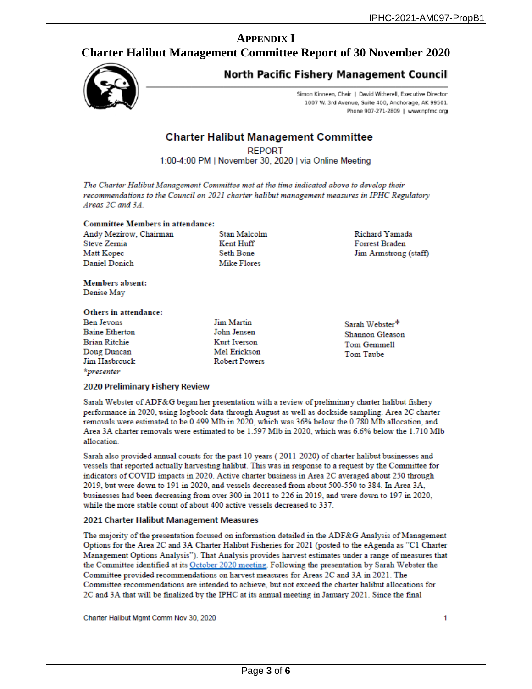# **APPENDIX I**

## <span id="page-2-0"></span>**Charter Halibut Management Committee Report of 30 November 2020**



# **North Pacific Fishery Management Council**

Simon Kinneen, Chair | David Witherell, Executive Director 1007 W. 3rd Avenue, Suite 400, Anchorage, AK 99501. Phone 907-271-2809 | www.npfmc.org

## **Charter Halibut Management Committee**

**REPORT** 

1:00-4:00 PM | November 30, 2020 | via Online Meeting

The Charter Halibut Management Committee met at the time indicated above to develop their recommendations to the Council on 2021 charter halibut management measures in IPHC Regulatory Areas 2C and 3A.

#### **Committee Members in attendance:**

Andy Mezirow, Chairman Steve Zernia Matt Kopec **Daniel Donich** 

Stan Malcolm Kent Huff **Seth Bone Mike Flores** 

**Richard Yamada** Forrest Braden Jim Armstrong (staff)

Members absent: Denise May

#### Others in attendance:

**Ben Jevons Baine Etherton Brian Ritchie** Doug Duncan Jim Hasbrouck \*presenter

**Jim Martin** John Jensen Kurt Iverson Mel Erickson **Robert Powers**  Sarah Webster\* Shannon Gleason **Tom Gemmell Tom Taube** 

#### 2020 Preliminary Fishery Review

Sarah Webster of ADF&G began her presentation with a review of preliminary charter halibut fishery performance in 2020, using logbook data through August as well as dockside sampling. Area 2C charter removals were estimated to be 0.499 Mlb in 2020, which was 36% below the 0.780 Mlb allocation, and Area 3A charter removals were estimated to be 1.597 Mlb in 2020, which was 6.6% below the 1.710 Mlb allocation.

Sarah also provided annual counts for the past 10 years (2011-2020) of charter halibut businesses and vessels that reported actually harvesting halibut. This was in response to a request by the Committee for indicators of COVID impacts in 2020. Active charter business in Area 2C averaged about 250 through 2019, but were down to 191 in 2020, and vessels decreased from about 500-550 to 384. In Area 3A, businesses had been decreasing from over 300 in 2011 to 226 in 2019, and were down to 197 in 2020, while the more stable count of about 400 active vessels decreased to 337.

#### 2021 Charter Halibut Management Measures

The majority of the presentation focused on information detailed in the ADF&G Analysis of Management Options for the Area 2C and 3A Charter Halibut Fisheries for 2021 (posted to the eAgenda as "C1 Charter Management Options Analysis"). That Analysis provides harvest estimates under a range of measures that the Committee identified at its October 2020 meeting. Following the presentation by Sarah Webster the Committee provided recommendations on harvest measures for Areas 2C and 3A in 2021. The Committee recommendations are intended to achieve, but not exceed the charter halibut allocations for 2C and 3A that will be finalized by the IPHC at its annual meeting in January 2021. Since the final

Charter Halibut Mgmt Comm Nov 30, 2020

1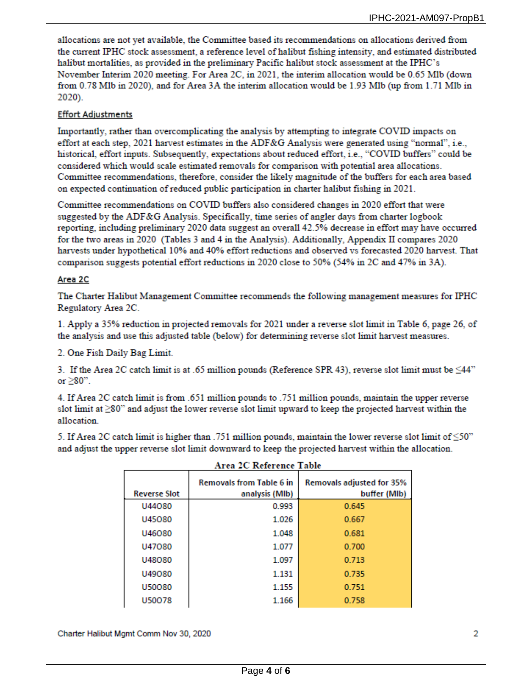allocations are not yet available, the Committee based its recommendations on allocations derived from the current IPHC stock assessment, a reference level of halibut fishing intensity, and estimated distributed halibut mortalities, as provided in the preliminary Pacific halibut stock assessment at the IPHC's November Interim 2020 meeting. For Area 2C, in 2021, the interim allocation would be 0.65 Mlb (down from 0.78 Mlb in 2020), and for Area 3A the interim allocation would be 1.93 Mlb (up from 1.71 Mlb in 2020).

## **Effort Adjustments**

Importantly, rather than overcomplicating the analysis by attempting to integrate COVID impacts on effort at each step, 2021 harvest estimates in the ADF&G Analysis were generated using "normal", i.e., historical, effort inputs. Subsequently, expectations about reduced effort, i.e., "COVID buffers" could be considered which would scale estimated removals for comparison with potential area allocations. Committee recommendations, therefore, consider the likely magnitude of the buffers for each area based on expected continuation of reduced public participation in charter halibut fishing in 2021.

Committee recommendations on COVID buffers also considered changes in 2020 effort that were suggested by the ADF&G Analysis. Specifically, time series of angler days from charter logbook reporting, including preliminary 2020 data suggest an overall 42.5% decrease in effort may have occurred for the two areas in 2020 (Tables 3 and 4 in the Analysis). Additionally, Appendix II compares 2020 harvests under hypothetical 10% and 40% effort reductions and observed vs forecasted 2020 harvest. That comparison suggests potential effort reductions in 2020 close to 50% (54% in 2C and 47% in 3A).

### Area 2C

The Charter Halibut Management Committee recommends the following management measures for IPHC Regulatory Area 2C.

1. Apply a 35% reduction in projected removals for 2021 under a reverse slot limit in Table 6, page 26, of the analysis and use this adjusted table (below) for determining reverse slot limit harvest measures.

2. One Fish Daily Bag Limit.

3. If the Area 2C catch limit is at .65 million pounds (Reference SPR 43), reverse slot limit must be  $\leq 44$ " or  $\geq$  80".

4. If Area 2C catch limit is from .651 million pounds to .751 million pounds, maintain the upper reverse slot limit at  $\geq$ 80" and adjust the lower reverse slot limit upward to keep the projected harvest within the allocation.

5. If Area 2C catch limit is higher than .751 million pounds, maintain the lower reverse slot limit of  $\leq$ 50" and adjust the upper reverse slot limit downward to keep the projected harvest within the allocation.

| лгеа де кеңегенее тари |                                                   |                                                  |  |  |  |  |  |
|------------------------|---------------------------------------------------|--------------------------------------------------|--|--|--|--|--|
| <b>Reverse Slot</b>    | <b>Removals from Table 6 in</b><br>analysis (MIb) | <b>Removals adjusted for 35%</b><br>buffer (MIb) |  |  |  |  |  |
| U44080                 | 0.993                                             | 0.645                                            |  |  |  |  |  |
| U45080                 | 1.026                                             | 0.667                                            |  |  |  |  |  |
| U46080                 | 1.048                                             | 0.681                                            |  |  |  |  |  |
| U47080                 | 1.077                                             | 0.700                                            |  |  |  |  |  |
| U48080                 | 1.097                                             | 0.713                                            |  |  |  |  |  |
| U49080                 | 1.131                                             | 0.735                                            |  |  |  |  |  |
| U50080                 | 1.155                                             | 0.751                                            |  |  |  |  |  |
| U50078                 | 1.166                                             | 0.758                                            |  |  |  |  |  |

|  |  | Area 2C Reference Table |      |  |  |
|--|--|-------------------------|------|--|--|
|  |  |                         | ____ |  |  |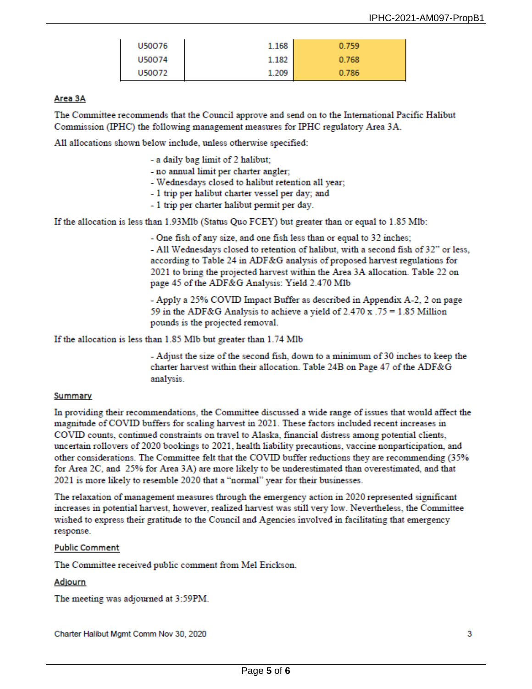| U50076 | 1.168 | 0.759 |
|--------|-------|-------|
| U50074 | 1.182 | 0.768 |
| U50072 | 1.209 | 0.786 |

### Area 3A

The Committee recommends that the Council approve and send on to the International Pacific Halibut Commission (IPHC) the following management measures for IPHC regulatory Area 3A.

All allocations shown below include, unless otherwise specified:

- a daily bag limit of 2 halibut;
- no annual limit per charter angler;
- Wednesdays closed to halibut retention all year;
- 1 trip per halibut charter vessel per day; and
- 1 trip per charter halibut permit per day.

If the allocation is less than 1.93Mlb (Status Quo FCEY) but greater than or equal to 1.85 Mlb:

- One fish of any size, and one fish less than or equal to 32 inches; - All Wednesdays closed to retention of halibut, with a second fish of 32" or less, according to Table 24 in ADF&G analysis of proposed harvest regulations for 2021 to bring the projected harvest within the Area 3A allocation. Table 22 on page 45 of the ADF&G Analysis: Yield 2.470 Mlb

- Apply a 25% COVID Impact Buffer as described in Appendix A-2, 2 on page 59 in the ADF&G Analysis to achieve a vield of  $2.470 \text{ x}$ . 75 = 1.85 Million pounds is the projected removal.

If the allocation is less than 1.85 Mlb but greater than 1.74 Mlb

- Adjust the size of the second fish, down to a minimum of 30 inches to keep the charter harvest within their allocation. Table 24B on Page 47 of the ADF&G analysis.

#### Summary

In providing their recommendations, the Committee discussed a wide range of issues that would affect the magnitude of COVID buffers for scaling harvest in 2021. These factors included recent increases in COVID counts, continued constraints on travel to Alaska, financial distress among potential clients, uncertain rollovers of 2020 bookings to 2021, health liability precautions, vaccine nonparticipation, and other considerations. The Committee felt that the COVID buffer reductions they are recommending (35% for Area 2C, and 25% for Area 3A) are more likely to be underestimated than overestimated, and that 2021 is more likely to resemble 2020 that a "normal" year for their businesses.

The relaxation of management measures through the emergency action in 2020 represented significant increases in potential harvest, however, realized harvest was still very low. Nevertheless, the Committee wished to express their gratitude to the Council and Agencies involved in facilitating that emergency response.

#### **Public Comment**

The Committee received public comment from Mel Erickson.

#### Adjourn

The meeting was adjourned at 3:59PM.

Charter Halibut Mgmt Comm Nov 30, 2020